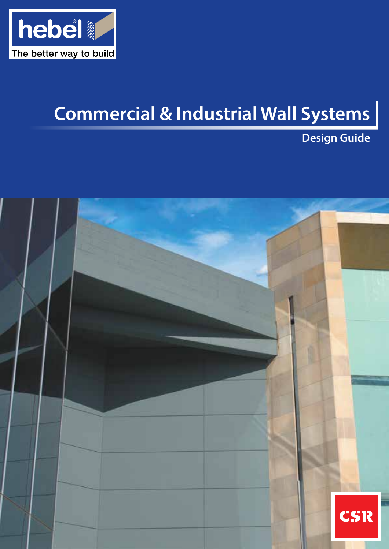

# **Commercial & Industrial Wall Systems**

**Design Guide**

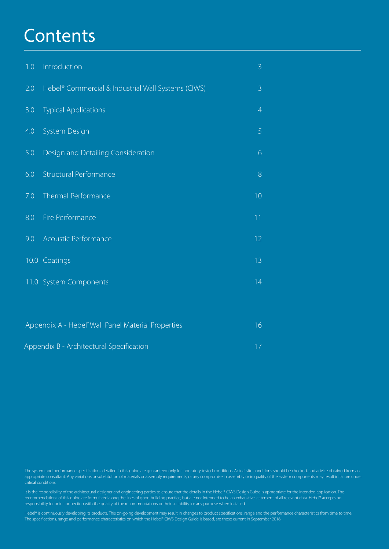## **Contents**

| 1.0 | Introduction                                                   | 3              |
|-----|----------------------------------------------------------------|----------------|
| 2.0 | Hebel <sup>®</sup> Commercial & Industrial Wall Systems (CIWS) | $\overline{3}$ |
| 3.0 | <b>Typical Applications</b>                                    | $\overline{4}$ |
| 4.0 | System Design                                                  | 5              |
| 5.0 | Design and Detailing Consideration                             | 6              |
| 6.0 | <b>Structural Performance</b>                                  | 8              |
| 7.0 | Thermal Performance                                            | 10             |
| 8.0 | Fire Performance                                               | 11             |
| 9.0 | Acoustic Performance                                           | 12             |
|     | 10.0 Coatings                                                  | 13             |
|     | 11.0 System Components                                         | 14             |
|     |                                                                |                |

| Appendix A - Hebel <sup>®</sup> Wall Panel Material Properties | 16          |
|----------------------------------------------------------------|-------------|
| Appendix B - Architectural Specification                       | <b>17 X</b> |

The system and performance specifications detailed in this guide are guaranteed only for laboratory tested conditions. Actual site conditions should be checked, and advice obtained from an appropriate consultant. Any variations or substitution of materials or assembly requirements, or any compromise in assembly or in quality of the system components may result in failure under

It is the responsibility of the architectural designer and engineering parties to ensure that the details in the Hebel® CIWS Design Guide is appropriate for the intended application. The recommendations of this guide are formulated along the lines of good building practice, but are not intended to be an exhaustive statement of all relevant data. Hebel® accepts no responsibility for or in connection with the quality of the recommendations or their suitability for any purpose when installed.

Hebel® is continuously developing its products. This on-going development may result in changes to product specifications, range and the performance characteristics from time to time. The specifications, range and performance characteristics on which the Hebel® CIWS Design Guide is based, are those current in September 2016.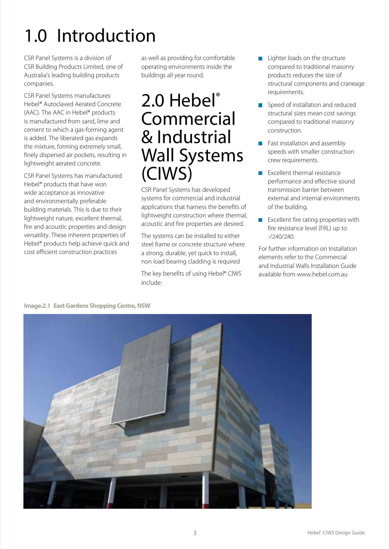# 1.0 Introduction

CSR Panel Systems is a division of CSR Building Products Limited, one of Australia's leading building products companies.

CSR Panel Systems manufactures Hebel® Autoclaved Aerated Concrete (AAC). The AAC in Hebel® products is manufactured from sand, lime and cement to which a gas-forming agent is added. The liberated gas expands the mixture, forming extremely small, finely dispersed air pockets, resulting in lightweight aerated concrete.

CSR Panel Systems has manufactured Hebel® products that have won wide acceptance as innovative and environmentally preferable building materials. This is due to their lightweight nature, excellent thermal, fire and acoustic properties and design versatility. These inherent properties of Hebel® products help achieve quick and cost efficient construction practices

as well as providing for comfortable operating environments inside the buildings all year round.

## 2.0 Hebel® Commercial & Industrial Wall Systems (CIWS)

CSR Panel Systems has developed systems for commercial and industrial applications that harness the benefits of lightweight construction where thermal, acoustic and fire properties are desired.

The systems can be installed to either steel frame or concrete structure where a strong, durable, yet quick to install, non load bearing cladding is required

The key benefits of using Hebel® CIWS include:

- $\blacksquare$  Lighter loads on the structure compared to traditional masonry products reduces the size of structural components and craneage requirements.
- Speed of installation and reduced structural sizes mean cost savings compared to traditional masonry construction.
- **Fast installation and assembly** speeds with smaller construction crew requirements.
- $E$  Excellent thermal resistance performance and effective sound transmission barrier between external and internal environments of the building.
- **EXCELLENT FIRE THE READER** FIRE READER fire resistance level (FRL) up to -/240/240.

For further information on Installation elements refer to the Commercial and Industrial Walls Installation Guide available from www.hebel.com.au.



**Image.2.1 East Gardens Shopping Centre, NSW**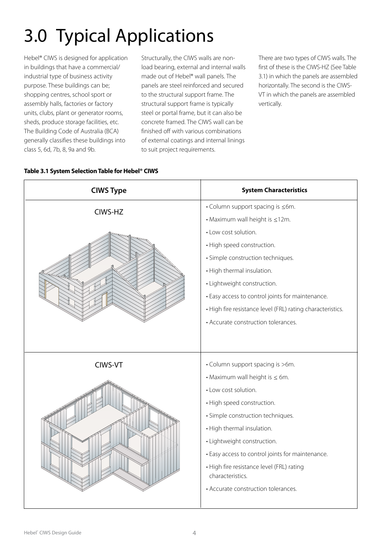# 3.0 Typical Applications

Hebel® CIWS is designed for application in buildings that have a commercial/ industrial type of business activity purpose. These buildings can be; shopping centres, school sport or assembly halls, factories or factory units, clubs, plant or generator rooms, sheds, produce storage facilities, etc. The Building Code of Australia (BCA) generally classifies these buildings into class 5, 6d, 7b, 8, 9a and 9b.

Structurally, the CIWS walls are nonload bearing, external and internal walls made out of Hebel® wall panels. The panels are steel reinforced and secured to the structural support frame. The structural support frame is typically steel or portal frame, but it can also be concrete framed. The CIWS wall can be finished off with various combinations of external coatings and internal linings to suit project requirements.

There are two types of CIWS walls. The first of these is the CIWS-HZ (See Table 3.1) in which the panels are assembled horizontally. The second is the CIWS-VT in which the panels are assembled vertically.



#### **Table 3.1 System Selection Table for Hebel® CIWS**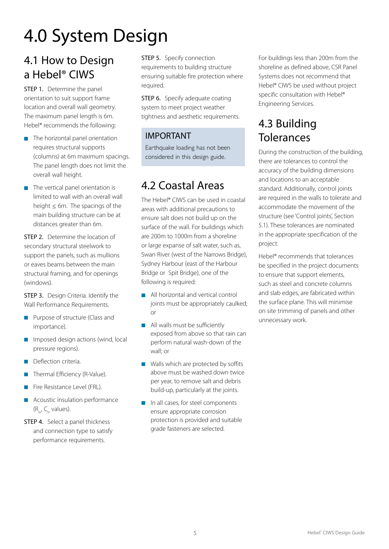# 4.0 System Design

### 4.1 How to Design a Hebel® CIWS

**STEP 1.** Determine the panel orientation to suit support frame location and overall wall geometry. The maximum panel length is 6m. Hebel® recommends the following:

- $\blacksquare$  The horizontal panel orientation requires structural supports (columns) at 6m maximum spacings. The panel length does not limit the overall wall height.
- $\blacksquare$  The vertical panel orientation is limited to wall with an overall wall height  $\leq 6$ m. The spacings of the main building structure can be at distances greater than 6m.

**STEP 2.** Determine the location of secondary structural steelwork to support the panels, such as mullions or eaves beams between the main structural framing, and for openings (windows).

**STEP 3.** Design Criteria. Identify the Wall Performance Requirements.

- **Purpose of structure (Class and** importance).
- Imposed design actions (wind, local pressure regions).
- **Deflection criteria.**
- Thermal Efficiency (R-Value).
- Fire Resistance Level (FRL).
- **Acoustic insulation performance**  $(R_{w}, C_{tr}$  values).
- **STEP 4.** Select a panel thickness and connection type to satisfy performance requirements.

STEP 5. Specify connection requirements to building structure ensuring suitable fire protection where required.

**STEP 6.** Specify adequate coating system to meet project weather tightness and aesthetic requirements.

#### IMPORTANT

Earthquake loading has not been considered in this design guide.

### 4.2 Coastal Areas

The Hebel® CIWS can be used in coastal areas with additional precautions to ensure salt does not build up on the surface of the wall. For buildings which are 200m to 1000m from a shoreline or large expanse of salt water, such as, Swan River (west of the Narrows Bridge), Sydney Harbour (east of the Harbour Bridge or Spit Bridge), one of the following is required:

- **All horizontal and vertical control** joints must be appropriately caulked; or
- All walls must be sufficiently exposed from above so that rain can perform natural wash-down of the wall; or
- Walls which are protected by soffits above must be washed down twice per year, to remove salt and debris build-up, particularly at the joints.
- In all cases, for steel components ensure appropriate corrosion protection is provided and suitable grade fasteners are selected.

For buildings less than 200m from the shoreline as defined above, CSR Panel Systems does not recommend that Hebel® CIWS be used without project specific consultation with Hebel® Engineering Services.

### 4.3 Building **Tolerances**

During the construction of the building, there are tolerances to control the accuracy of the building dimensions and locations to an acceptable standard. Additionally, control joints are required in the walls to tolerate and accommodate the movement of the structure (see 'Control joints', Section 5.1). These tolerances are nominated in the appropriate specification of the project.

Hebel® recommends that tolerances be specified in the project documents to ensure that support elements, such as steel and concrete columns and slab edges, are fabricated within the surface plane. This will minimise on site trimming of panels and other unnecessary work.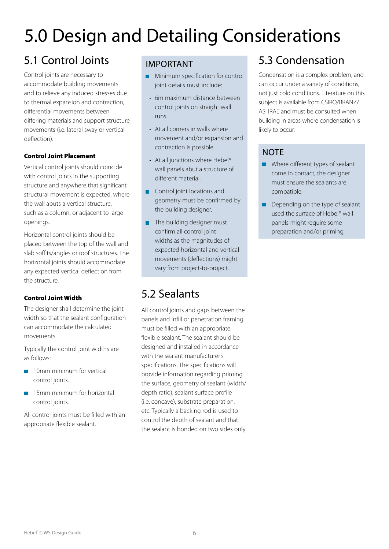# 5.0 Design and Detailing Considerations

### 5.1 Control Joints

Control joints are necessary to accommodate building movements and to relieve any induced stresses due to thermal expansion and contraction, differential movements between differing materials and support structure movements (i.e. lateral sway or vertical deflection).

#### Control Joint Placement

Vertical control joints should coincide with control joints in the supporting structure and anywhere that significant structural movement is expected, where the wall abuts a vertical structure, such as a column, or adjacent to large openings.

Horizontal control joints should be placed between the top of the wall and slab soffits/angles or roof structures. The horizontal joints should accommodate any expected vertical deflection from the structure.

#### Control Joint Width

The designer shall determine the joint width so that the sealant configuration can accommodate the calculated movements.

Typically the control joint widths are as follows:

- **10mm minimum for vertical** control joints.
- **15mm minimum for horizontal** control joints.

All control joints must be filled with an appropriate flexible sealant.

#### IMPORTANT

- **Minimum specification for control** joint details must include:
	- 6m maximum distance between control joints on straight wall runs.
- At all corners in walls where movement and/or expansion and contraction is possible.
- At all junctions where Hebel® wall panels abut a structure of different material.
- **Control joint locations and** geometry must be confirmed by the building designer.
- $\blacksquare$  The building designer must confirm all control joint widths as the magnitudes of expected horizontal and vertical movements (deflections) might vary from project-to-project.

### 5.2 Sealants

All control joints and gaps between the panels and infill or penetration framing must be filled with an appropriate flexible sealant. The sealant should be designed and installed in accordance with the sealant manufacturer's specifications. The specifications will provide information regarding priming the surface, geometry of sealant (width/ depth ratio), sealant surface profile (i.e. concave), substrate preparation, etc. Typically a backing rod is used to control the depth of sealant and that the sealant is bonded on two sides only.

### 5.3 Condensation

Condensation is a complex problem, and can occur under a variety of conditions, not just cold conditions. Literature on this subject is available from CSIRO/BRANZ/ ASHRAE and must be consulted when building in areas where condensation is likely to occur.

#### **NOTE**

- Where different types of sealant come in contact, the designer must ensure the sealants are compatible.
- Depending on the type of sealant  $\blacksquare$ used the surface of Hebel® wall panels might require some preparation and/or priming.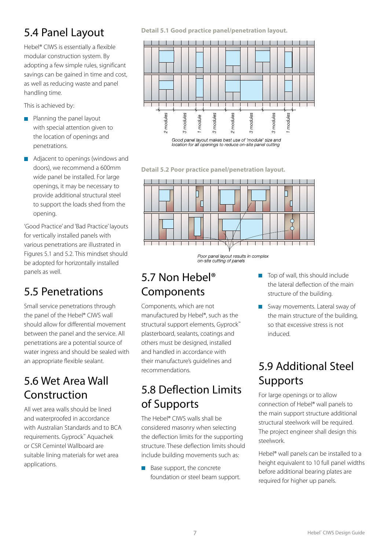### 5.4 Panel Layout

Hebel® CIWS is essentially a flexible modular construction system. By adopting a few simple rules, significant savings can be gained in time and cost, as well as reducing waste and panel handling time.

This is achieved by:

- **Planning the panel layout** with special attention given to the location of openings and penetrations.
- **Adjacent to openings (windows and** doors), we recommend a 600mm wide panel be installed. For large openings, it may be necessary to provide additional structural steel to support the loads shed from the opening.

'Good Practice' and 'Bad Practice' layouts for vertically installed panels with various penetrations are illustrated in Figures 5.1 and 5.2. This mindset should be adopted for horizontally installed panels as well.

### 5.5 Penetrations

Small service penetrations through the panel of the Hebel® CIWS wall should allow for differential movement between the panel and the service. All penetrations are a potential source of water ingress and should be sealed with an appropriate flexible sealant.

### 5.6 Wet Area Wall Construction

All wet area walls should be lined and waterproofed in accordance with Australian Standards and to BCA requirements. Gyprock™ Aquachek or CSR Cemintel Wallboard are suitable lining materials for wet area applications.

**Detail 5.1 Good practice panel/penetration layout.**



location for all openings to reduce on-site panel cutting

**Detail 5.2 Poor practice panel/penetration layout.**



Poor panel layout results in complex on-site cutting of panels

### 5.7 Non Hebel® Components

Components, which are not manufactured by Hebel®, such as the structural support elements, Gyprock™ plasterboard, sealants, coatings and others must be designed, installed and handled in accordance with their manufacture's guidelines and recommendations.

### 5.8 Deflection Limits of Supports

The Hebel® CIWS walls shall be considered masonry when selecting the deflection limits for the supporting structure. These deflection limits should include building movements such as:

Base support, the concrete Ħ foundation or steel beam support.

- $\blacksquare$  Top of wall, this should include the lateral deflection of the main structure of the building.
- Sway movements. Lateral sway of the main structure of the building, so that excessive stress is not induced.

### 5.9 Additional Steel **Supports**

For large openings or to allow connection of Hebel® wall panels to the main support structure additional structural steelwork will be required. The project engineer shall design this steelwork.

Hebel® wall panels can be installed to a height equivalent to 10 full panel widths before additional bearing plates are required for higher up panels.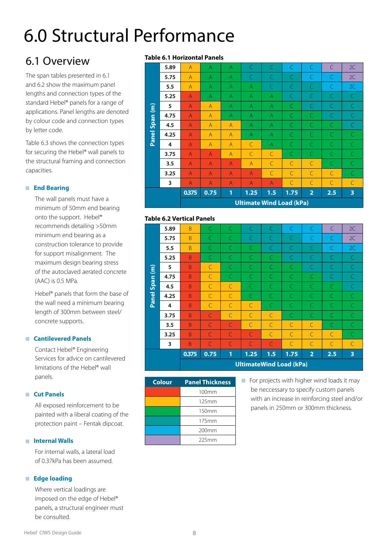# 6.0 Structural Performance

### 6.1 Overview

The span tables presented in 6.1 and 6.2 show the maximum panel lengths and connection types of the standard Hebel® panels for a range of applications. Panel lengths are denoted by colour code and connection types by letter code.

Table 6.3 shows the connection types for securing the Hebel® wall panels to the structural framing and connection capacities.

#### **End Bearing**

The wall panels must have a minimum of 50mm end bearing onto the support. Hebel® recommends detailing >50mm minimum end bearing as a construction tolerance to provide for support misalignment. The maximum design bearing stress of the autoclaved aerated concrete (AAC) is 0.5 MPa.

Hebel® panels that form the base of the wall need a minimum bearing length of 300mm between steel/ concrete supports.

#### **Cantilevered Panels**

Contact Hebel® Engineering Services for advice on cantilevered limitations of the Hebel® wall panels.

#### **Cut Panels**

All exposed reinforcement to be painted with a liberal coating of the protection paint – Fentak dipcoat.

#### $\blacksquare$  Internal Walls

For internal walls, a lateral load of 0.37kPa has been assumed.

#### **Edge loading**

Where vertical loadings are imposed on the edge of Hebel® panels, a structural engineer must be consulted.

#### **Table 6.1 Horizontal Panels**

|                                   | 3.25        | $\overline{A}$                   | $\overline{A}$                   | $\overline{A}$                   | $\overline{A}$                 | $\subset$                 | $\subset$                 | C                           | C                        | C               |
|-----------------------------------|-------------|----------------------------------|----------------------------------|----------------------------------|--------------------------------|---------------------------|---------------------------|-----------------------------|--------------------------|-----------------|
|                                   | 3.75<br>3.5 | $\overline{A}$<br>$\overline{A}$ | $\overline{A}$<br>$\overline{A}$ | $\overline{A}$<br>$\overline{A}$ | $\mathsf{C}$<br>$\overline{A}$ | $\subset$<br>$\mathsf{C}$ | $\subset$<br>$\mathsf{C}$ | $\subset$<br>$\overline{C}$ | $\subset$<br>$\mathsf C$ | C.<br>$\subset$ |
|                                   | 4           | $\overline{A}$                   | $\overline{A}$                   | $\overline{A}$                   | $\subset$                      | $\overline{A}$            | $\subset$                 | $\subset$                   | $\subset$                | $\subset$       |
| Panel                             | 4.25        | $\overline{A}$                   | $\overline{A}$                   | $\overline{A}$                   | A                              | $\overline{A}$            | $\subset$                 | $\subset$                   | $\subset$                | C.              |
| <b>Span</b>                       | 4.5         | A                                | $\overline{A}$                   | $\overline{A}$                   | A                              | $\overline{A}$            | C                         | C                           | C                        | C               |
|                                   | 4.75        | A                                | $\overline{A}$                   | $\overline{A}$                   | A                              | $\overline{A}$            | C                         | C                           | C                        | C               |
| $\widehat{\boldsymbol{\epsilon}}$ | 5           | $\overline{A}$                   | $\overline{A}$                   | $\overline{A}$                   | A                              | $\overline{A}$            | C                         | C                           | C                        | C               |
|                                   | 5.25        | $\overline{A}$                   | $\overline{A}$                   | $\overline{A}$                   | A                              | $\overline{A}$            | C                         | C                           | $\subset$                | C               |
|                                   | 5.5         | $\overline{A}$                   | $\overline{A}$                   | $\overline{A}$                   | A                              | C                         | C                         | C                           | C                        | 2C              |
|                                   | 5.75        | $\overline{A}$                   | $\overline{A}$                   | $\overline{A}$                   | $\subset$                      | $\subset$                 | $\subset$                 | $\subset$                   | $\subset$                | 2C              |
|                                   | 5.89        | $\overline{A}$                   | A                                | $\overline{A}$                   | C                              | $\subset$                 | $\subset$                 | $\subset$                   | C                        | 2C              |

#### **Table 6.2 Vertical Panels**

| <b>Span</b><br>Panel | 4.5<br>4.25<br>4    | B<br>B<br>B | C<br>$\subset$<br>$\mathsf{C}$ | $\mathsf{C}$<br>$\mathsf{C}$<br>$\mathsf{C}$ | C<br>C<br>$\subset$                                 | $\subset$<br>C<br>$\subset$         | C<br>C<br>C                 | C<br>$\mathsf{C}$<br>$\subset$ | C<br>C<br>$\subset$         | C<br>C.<br>$\subset$ |
|----------------------|---------------------|-------------|--------------------------------|----------------------------------------------|-----------------------------------------------------|-------------------------------------|-----------------------------|--------------------------------|-----------------------------|----------------------|
|                      | 3.75<br>3.5<br>3.25 | B<br>B<br>B | C<br>$\subset$<br>C            | $\mathsf{C}$<br>$\subset$<br>$\subset$       | $\subset$<br>$\overline{C}$<br>C                    | $\subset$<br>$\subset$<br>$\subset$ | C<br>$\subset$<br>$\subset$ | $\subset$<br>$\subset$<br>C    | C<br>$\subset$<br>$\subset$ | C<br>$\subset$<br>C. |
|                      | 3                   | B<br>0.375  | C<br>0.75                      | $\subset$<br>1                               | $\subset$<br>1.25<br><b>UltimateWind Load (kPa)</b> | $\subset$<br>1.5                    | $\subset$<br>1.75           | C<br>$\overline{2}$            | $\subset$<br>2.5            | $\mathsf{C}$<br>3    |

| <b>Colour</b> | <b>Panel Thickness</b> |
|---------------|------------------------|
|               | 100mm                  |
|               | 125mm                  |
|               | 150mm                  |
|               | 175mm                  |
|               | 200 <sub>mm</sub>      |
|               | 225mm                  |

**For projects with higher wind loads it may** be neccessary to specify custom panels with an increase in reinforcing steel and/or panels in 250mm or 300mm thickness.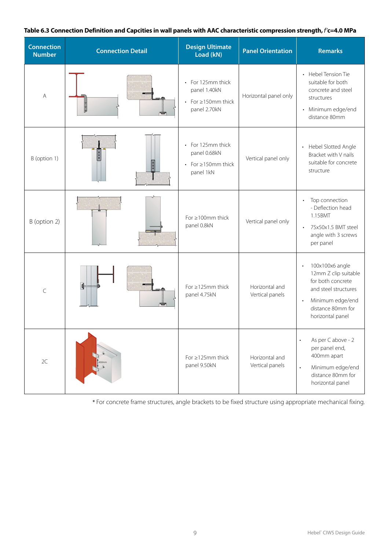#### **Table 6.3 Connection Definition and Capcities in wall panels with AAC characteristic compression strength,** *f'***c=4.0 MPa**

| <b>Connection</b><br><b>Number</b> | <b>Connection Detail</b>                                   | <b>Design Ultimate</b><br>Load (kN)                                                           | <b>Panel Orientation</b>          | <b>Remarks</b>                                                                                                                                                              |
|------------------------------------|------------------------------------------------------------|-----------------------------------------------------------------------------------------------|-----------------------------------|-----------------------------------------------------------------------------------------------------------------------------------------------------------------------------|
| A                                  | $\frac{1}{2}$<br>ᅲ                                         | For 125mm thick<br>$\bullet$<br>panel 1.40kN<br>For ≥150mm thick<br>$\bullet$<br>panel 2.70kN | Horizontal panel only             | • Hebel Tension Tie<br>suitable for both<br>concrete and steel<br>structures<br>Minimum edge/end<br>$\bullet$<br>distance 80mm                                              |
| B (option 1)                       | 0<br>  0<br>$\begin{array}{ c } \hline 0 \\ 0 \end{array}$ | For 125mm thick<br>$\bullet$<br>panel 0.68kN<br>• For $\geq$ 150mm thick<br>panel 1kN         | Vertical panel only               | Hebel Slotted Angle<br>$\bullet$<br>Bracket with V nails<br>suitable for concrete<br>structure                                                                              |
| B (option 2)                       |                                                            | For $\geq 100$ mm thick<br>panel 0.8kN                                                        | Vertical panel only               | Top connection<br>$\bullet$<br>- Deflection head<br>1.15BMT<br>75x50x1.5 BMT steel<br>$\bullet$<br>angle with 3 screws<br>per panel                                         |
| $\mathsf{C}$                       | ⊪<br>٣Ō                                                    | For $\geq$ 125mm thick<br>panel 4.75kN                                                        | Horizontal and<br>Vertical panels | 100x100x6 angle<br>$\bullet$<br>12mm Z clip suitable<br>for both concrete<br>and steel structures<br>Minimum edge/end<br>$\bullet$<br>distance 80mm for<br>horizontal panel |
| 2C                                 | 100 <sub>mn</sub>                                          | For $\geq$ 125mm thick<br>panel 9.50kN                                                        | Horizontal and<br>Vertical panels | As per C above - 2<br>$\bullet$<br>per panel end,<br>400mm apart<br>Minimum edge/end<br>$\bullet$<br>distance 80mm for<br>horizontal panel                                  |

\* For concrete frame structures, angle brackets to be fixed structure using appropriate mechanical fixing.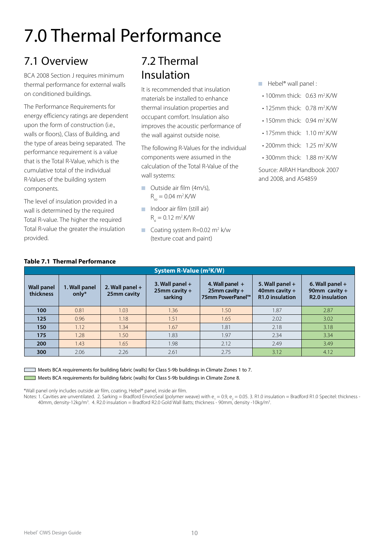# 7.0 Thermal Performance

### 7.1 Overview

BCA 2008 Section J requires minimum thermal performance for external walls on conditioned buildings.

The Performance Requirements for energy efficiency ratings are dependent upon the form of construction (i.e., walls or floors), Class of Building, and the type of areas being separated. The performance requirement is a value that is the Total R-Value, which is the cumulative total of the individual R-Values of the building system components.

The level of insulation provided in a wall is determined by the required Total R-value. The higher the required Total R-value the greater the insulation provided.

### 7.2 Thermal Insulation

It is recommended that insulation materials be installed to enhance thermal insulation properties and occupant comfort. Insulation also improves the acoustic performance of the wall against outside noise.

The following R-Values for the individual components were assumed in the calculation of the Total R-Value of the wall systems:

- **Outside air film (4m/s),**  $R_{so} = 0.04 \text{ m}^2$ .K/W
- $\blacksquare$  Indoor air film (still air)  $R_{si} = 0.12 \text{ m}^2$ .K/W
- Coating system  $R = 0.02$  m<sup>2</sup> k/w (texture coat and paint)
- $\blacksquare$  Hebel<sup>®</sup> wall panel :
- $\cdot$  100mm thick: 0.63 m<sup>2</sup>.K/W
- $\cdot$  125mm thick: 0.78 m<sup>2</sup>.K/W
- 150mm thick: 0.94 m<sup>2</sup>.K/W
- 175 $mm$  thick: 1.10  $m^2$ .K/W
- 200mm thick: 1.25 m<sup>2</sup>.K/W
- $\cdot$  300mm thick: 1.88 m<sup>2</sup>.K/W

Source: AIRAH Handbook 2007 and 2008, and AS4859

| <b>Table 7.1 Thermal Performance</b> |                                     |                                  |                                                  |                                                           |                                                         |                                                                |  |  |  |
|--------------------------------------|-------------------------------------|----------------------------------|--------------------------------------------------|-----------------------------------------------------------|---------------------------------------------------------|----------------------------------------------------------------|--|--|--|
|                                      | System R-Value (m <sup>2</sup> K/W) |                                  |                                                  |                                                           |                                                         |                                                                |  |  |  |
| <b>Wall panel</b><br>thickness       | 1. Wall panel<br>only $*$           | 2. Wall panel $+$<br>25mm cavity | 3. Wall panel $+$<br>$25$ mm cavity +<br>sarking | 4. Wall panel $+$<br>$25$ mm cavity +<br>75mm PowerPanel™ | 5. Wall panel $+$<br>40mm cavity $+$<br>R1.0 insulation | 6. Wall panel $+$<br>90mm cavity $+$<br><b>R2.0</b> insulation |  |  |  |
| 100                                  | 0.81                                | 1.03                             | 1.36                                             | 1.50                                                      | 1.87                                                    | 2.87                                                           |  |  |  |
| 125                                  | 0.96                                | 1.18                             | 1.51                                             | 1.65                                                      | 2.02                                                    | 3.02                                                           |  |  |  |
| 150                                  | 1.12                                | 1.34                             | 1.67                                             | 1.81                                                      | 2.18                                                    | 3.18                                                           |  |  |  |
| 175                                  | 1.28                                | 1.50                             | 1.83                                             | 1.97                                                      | 2.34                                                    | 3.34                                                           |  |  |  |
| 200                                  | 1.43                                | 1.65                             | 1.98                                             | 2.12                                                      | 2.49                                                    | 3.49                                                           |  |  |  |
| 300                                  | 2.06                                | 2.26                             | 2.61                                             | 2.75                                                      | 3.12                                                    | 4.12                                                           |  |  |  |

 Meets BCA requirements for building fabric (walls) for Class 5-9b buildings in Climate Zones 1 to 7. Meets BCA requirements for building fabric (walls) for Class 5-9b buildings in Climate Zone 8.

\*Wall panel only includes outside air film, coating, Hebel® panel, inside air film.

Notes: 1. Cavities are unventilated. 2. Sarking = Bradford EnviroSeal (polymer weave) with e<sub>1</sub> = 0.9, e<sub>2</sub> = 0.05. 3. R1.0 insulation = Bradford R1.0 Specitel: thickness -40mm, density-12kg/m<sup>3</sup>. 4. R2.0 insulation = Bradford R2.0 Gold Wall Batts; thickness - 90mm, density -10kg/m<sup>3</sup> .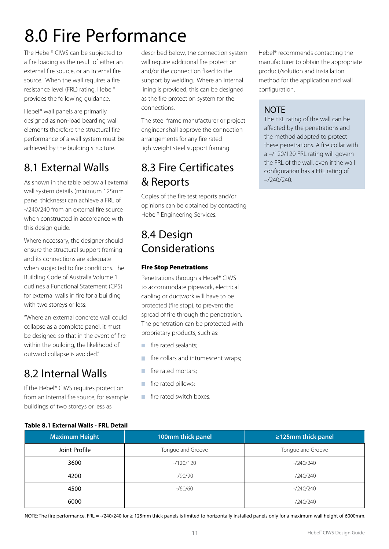# 8.0 Fire Performance

The Hebel® CIWS can be subjected to a fire loading as the result of either an external fire source, or an internal fire source. When the wall requires a fire resistance level (FRL) rating, Hebel® provides the following guidance.

Hebel® wall panels are primarily designed as non-load bearding wall elements therefore the structural fire performance of a wall system must be achieved by the building structure.

### 8.1 External Walls

As shown in the table below all external wall system details (minimum 125mm panel thickness) can achieve a FRL of -/240/240 from an external fire source when constructed in accordance with this design guide.

Where necessary, the designer should ensure the structural support framing and its connections are adequate when subjected to fire conditions. The Building Code of Australia Volume 1 outlines a Functional Statement (CP5) for external walls in fire for a building with two storeys or less:

"Where an external concrete wall could collapse as a complete panel, it must be designed so that in the event of fire within the building, the likelihood of outward collapse is avoided."

### 8.2 Internal Walls

If the Hebel® CIWS requires protection from an internal fire source, for example buildings of two storeys or less as

described below, the connection system will require additional fire protection and/or the connection fixed to the support by welding. Where an internal lining is provided, this can be designed as the fire protection system for the connections.

The steel frame manufacturer or project engineer shall approve the connection arrangements for any fire rated lightweight steel support framing.

### 8.3 Fire Certificates & Reports

Copies of the fire test reports and/or opinions can be obtained by contacting Hebel® Engineering Services.

### 8.4 Design Considerations

#### Fire Stop Penetrations

Penetrations through a Hebel® CIWS to accommodate pipework, electrical cabling or ductwork will have to be protected (fire stop), to prevent the spread of fire through the penetration. The penetration can be protected with proprietary products, such as:

- $\mathcal{L}_{\mathcal{A}}$ fire rated sealants;
- fire collars and intumescent wraps; ×
- fire rated mortars; m.
- × fire rated pillows;
- fire rated switch boxes.  $\mathcal{L}_{\mathcal{A}}$

Hebel® recommends contacting the manufacturer to obtain the appropriate product/solution and installation method for the application and wall configuration.

#### **NOTE**

The FRL rating of the wall can be affected by the penetrations and the method adopted to protect these penetrations. A fire collar with a –/120/120 FRL rating will govern the FRL of the wall, even if the wall configuration has a FRL rating of –/240/240.

|  | Table 8.1 External Walls - FRL Detail |  |  |
|--|---------------------------------------|--|--|
|  |                                       |  |  |

| <b>Maximum Height</b> | 100mm thick panel | $\geq$ 125mm thick panel |
|-----------------------|-------------------|--------------------------|
| Joint Profile         | Tongue and Groove | Tongue and Groove        |
| 3600                  | $-120/120$        | $-240/240$               |
| 4200                  | $-$ /90/90        | $-240/240$               |
| 4500                  | $-$ /60/60        | $-240/240$               |
| 6000                  | -                 | $-240/240$               |

NOTE: The fire performance, FRL = -/240/240 for ≥ 125mm thick panels is limited to horizontally installed panels only for a maximum wall height of 6000mm.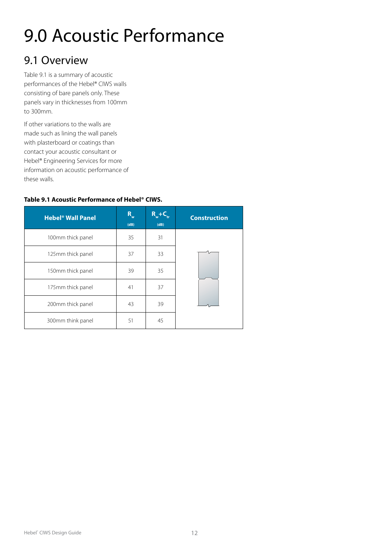# 9.0 Acoustic Performance

### 9.1 Overview

Table 9.1 is a summary of acoustic performances of the Hebel® CIWS walls consisting of bare panels only. These panels vary in thicknesses from 100mm to 300mm.

If other variations to the walls are made such as lining the wall panels with plasterboard or coatings than contact your acoustic consultant or Hebel® Engineering Services for more information on acoustic performance of these walls.

#### **Table 9.1 Acoustic Performance of Hebel® CIWS.**

| <b>Hebel<sup>®</sup> Wall Panel</b> | $R_{w}$<br>(dB) | $R_{w}$ +C<br>(dB) | <b>Construction</b> |
|-------------------------------------|-----------------|--------------------|---------------------|
| 100mm thick panel                   | 35              | 31                 |                     |
| 125mm thick panel                   | 37              | 33                 |                     |
| 150mm thick panel                   | 39              | 35                 |                     |
| 175mm thick panel                   | 41              | 37                 |                     |
| 200mm thick panel                   | 43              | 39                 |                     |
| 300mm think panel                   | 51              | 45                 |                     |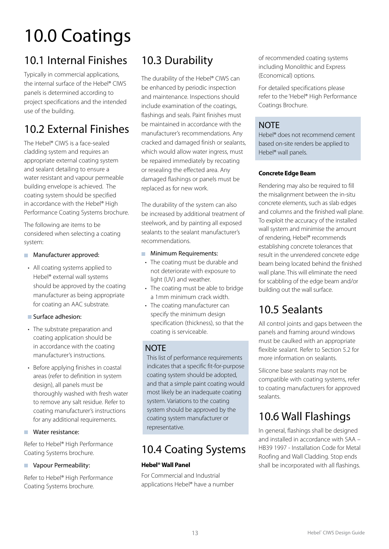# 10.0 Coatings

### 10.1 Internal Finishes

Typically in commercial applications, the internal surface of the Hebel® CIWS panels is determined according to project specifications and the intended use of the building.

### 10.2 External Finishes

The Hebel® CIWS is a face-sealed cladding system and requires an appropriate external coating system and sealant detailing to ensure a water resistant and vapour permeable building envelope is achieved. The coating system should be specified in accordance with the Hebel® High Performance Coating Systems brochure.

The following are items to be considered when selecting a coating system:

#### **Manufacturer approved:**

• All coating systems applied to Hebel® external wall systems should be approved by the coating manufacturer as being appropriate for coating an AAC substrate.

#### Surface adhesion:

- The substrate preparation and coating application should be in accordance with the coating manufacturer's instructions.
- Before applying finishes in coastal areas (refer to definition in system design), all panels must be thoroughly washed with fresh water to remove any salt residue. Refer to coating manufacturer's instructions for any additional requirements.

#### **Water resistance:**

Refer to Hebel® High Performance Coating Systems brochure.

#### **Vapour Permeability:**

Refer to Hebel® High Performance Coating Systems brochure.

### 10.3 Durability

The durability of the Hebel® CIWS can be enhanced by periodic inspection and maintenance. Inspections should include examination of the coatings, flashings and seals. Paint finishes must be maintained in accordance with the manufacturer's recommendations. Any cracked and damaged finish or sealants, which would allow water ingress, must be repaired immediately by recoating or resealing the effected area. Any damaged flashings or panels must be replaced as for new work.

The durability of the system can also be increased by additional treatment of steelwork, and by painting all exposed sealants to the sealant manufacturer's recommendations.

#### **Minimum Requirements:**

- The coating must be durable and not deteriorate with exposure to light (UV) and weather.
- The coating must be able to bridge a 1mm minimum crack width.
- The coating manufacturer can specify the minimum design specification (thickness), so that the coating is serviceable.

#### **NOTE**

This list of performance requirements indicates that a specific fit-for-purpose coating system should be adopted, and that a simple paint coating would most likely be an inadequate coating system. Variations to the coating system should be approved by the coating system manufacturer or representative.

### 10.4 Coating Systems

#### **Hebel® Wall Panel**

For Commercial and Industrial applications Hebel® have a number of recommended coating systems including Monolithic and Express (Economical) options.

For detailed specifications please refer to the 'Hebel® High Performance Coatings Brochure.

#### **NOTE**

Hebel® does not recommend cement based on-site renders be applied to Hebel® wall panels.

#### **Concrete Edge Beam**

Rendering may also be required to fill the misalignment between the in-situ concrete elements, such as slab edges and columns and the finished wall plane. To exploit the accuracy of the installed wall system and minimise the amount of rendering, Hebel® recommends establishing concrete tolerances that result in the unrendered concrete edge beam being located behind the finished wall plane. This will eliminate the need for scabbling of the edge beam and/or building out the wall surface.

### 10.5 Sealants

All control joints and gaps between the panels and framing around windows must be caulked with an appropriate flexible sealant. Refer to Section 5.2 for more information on sealants.

Silicone base sealants may not be compatible with coating systems, refer to coating manufacturers for approved sealants.

### 10.6 Wall Flashings

In general, flashings shall be designed and installed in accordance with SAA – HB39 1997 - Installation Code for Metal Roofing and Wall Cladding. Stop ends shall be incorporated with all flashings.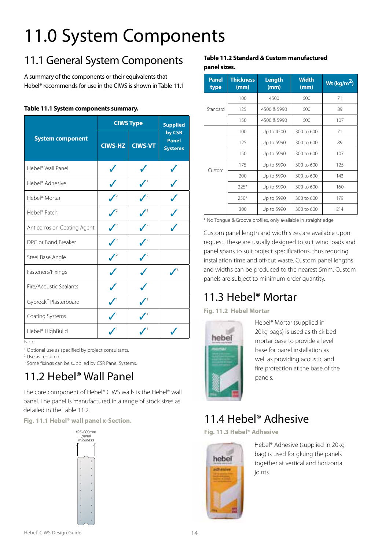# 11.0 System Components

### 11.1 General System Components

A summary of the components or their equivalents that Hebel® recommends for use in the CIWS is shown in Table 11.1

#### **Table 11.1 System components summary.**

|                                       |                  | <b>CIWS Type</b> | <b>Supplied</b>                          |
|---------------------------------------|------------------|------------------|------------------------------------------|
| <b>System component</b>               | <b>CIWS-HZ</b>   | <b>CIWS-VT</b>   | by CSR<br><b>Panel</b><br><b>Systems</b> |
| Hebel <sup>®</sup> Wall Panel         | J                | J                | J                                        |
| Hebel <sup>®</sup> Adhesive           | J                | J                |                                          |
| Hebel <sup>®</sup> Mortar             |                  |                  |                                          |
| Hebel® Patch                          | $\bigvee^2$      | $\mathcal{V}^2$  |                                          |
| Anticorrosion Coating Agent           | $\mathcal{L}$    |                  |                                          |
| DPC or Bond Breaker                   | $\sqrt{2}$       | $\mathcal{J}^2$  |                                          |
| Steel Base Angle                      | $\boldsymbol{J}$ | $\boldsymbol{J}$ |                                          |
| Fasteners/Fixings                     | J                | J                |                                          |
| Fire/Acoustic Sealants                |                  |                  |                                          |
| Gyprock™ Plasterboard                 | $\checkmark$     |                  |                                          |
| Coating Systems                       | $\boldsymbol{V}$ | $\boldsymbol{N}$ |                                          |
| Hebel® HighBuild<br>Note <sup>.</sup> |                  |                  |                                          |

Note:

<sup>1</sup> Optional use as specified by project consultants.

2 Use as required.

<sup>3</sup> Some fixings can be supplied by CSR Panel Systems.

### 11.2 Hebel® Wall Panel

The core component of Hebel® CIWS walls is the Hebel® wall panel. The panel is manufactured in a range of stock sizes as detailed in the Table 11.2.

**Fig. 11.1 Hebel® wall panel x-Section.** 



#### **Table 11.2 Standard & Custom manufactured panel sizes.**

| <b>Panel</b><br>type | <b>Thickness</b><br>(mm) | <b>Length</b><br>(mm) | <b>Width</b><br>(mm) | Wt (kg/m <sup>2</sup> ) |
|----------------------|--------------------------|-----------------------|----------------------|-------------------------|
|                      | 100                      | 4500                  | 600                  | 71                      |
| Standard             | 125                      | 4500 & 5990           | 600                  | 89                      |
|                      | 150                      | 4500 & 5990           | 600                  | 107                     |
|                      | 100                      | Up to 4500            | 300 to 600           | 71                      |
|                      | 125                      | Up to 5990            | 300 to 600           | 89                      |
|                      | 150                      | Up to 5990            | 300 to 600           | 107                     |
|                      | 175                      | Up to 5990            | 300 to 600           | 125                     |
| Custom               | 200                      | Up to 5990            | 300 to 600           | 143                     |
|                      | $225*$                   | Up to 5990            | 300 to 600           | 160                     |
|                      | $250*$                   | Up to 5990            | 300 to 600           | 179                     |
|                      | 300                      | Up to 5990            | 300 to 600           | 214                     |

\* No Tongue & Groove profiles, only available in straight edge

Custom panel length and width sizes are available upon request. These are usually designed to suit wind loads and panel spans to suit project specifications, thus reducing installation time and off-cut waste. Custom panel lengths and widths can be produced to the nearest 5mm. Custom panels are subject to minimum order quantity.

### 11.3 Hebel® Mortar

**Fig. 11.2 Hebel Mortar**



Hebel® Mortar (supplied in 20kg bags) is used as thick bed mortar base to provide a level base for panel installation as well as providing acoustic and fire protection at the base of the panels.

### 11.4 Hebel® Adhesive

**Fig. 11.3 Hebel® Adhesive**



Hebel® Adhesive (supplied in 20kg bag) is used for gluing the panels together at vertical and horizontal joints.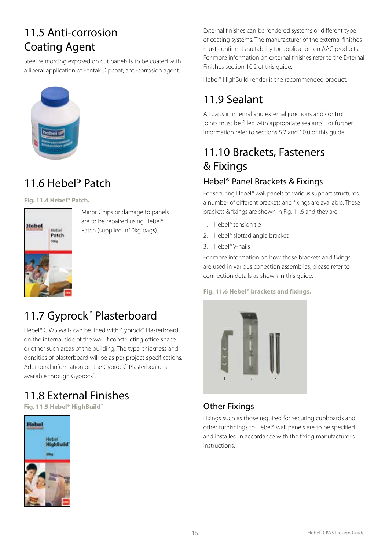### 11.5 Anti-corrosion Coating Agent

Steel reinforcing exposed on cut panels is to be coated with a liberal application of Fentak Dipcoat, anti-corrosion agent.



### 11.6 Hebel<sup>®</sup> Patch

**Fig. 11.4 Hebel® Patch.**



Minor Chips or damage to panels are to be repaired using Hebel® Patch (supplied in10kg bags).

### 11.7 Gyprock<sup>™</sup> Plasterboard

Hebel® CIWS walls can be lined with Gyprock™ Plasterboard on the internal side of the wall if constructing office space or other such areas of the building. The type, thickness and densities of plasterboard will be as per project specifications. Additional information on the Gyprock™ Plasterboard is available through Gyprock™.

### 11.8 External Finishes

**Fig. 11.5 Hebel® HighBuild™**



External finishes can be rendered systems or different type of coating systems. The manufacturer of the external finishes must confirm its suitability for application on AAC products. For more information on external finishes refer to the External Finishes section 10.2 of this guide.

Hebel® HighBuild render is the recommended product.

### 11.9 Sealant

All gaps in internal and external junctions and control joints must be filled with appropriate sealants. For further information refer to sections 5.2 and 10.0 of this guide.

### 11.10 Brackets, Fasteners & Fixings

#### Hebel® Panel Brackets & Fixings

For securing Hebel® wall panels to various support structures a number of different brackets and fixings are available. These brackets & fixings are shown in Fig. 11.6 and they are:

- 1. Hebel® tension tie
- 2. Hebel® slotted angle bracket
- 3. Hebel® V-nails

For more information on how those brackets and fixings are used in various conection assemblies, please refer to connection details as shown in this guide.

**Fig. 11.6 Hebel® brackets and fixings.**



#### Other Fixings

Fixings such as those required for securing cupboards and other furnishings to Hebel® wall panels are to be specified and installed in accordance with the fixing manufacturer's instructions.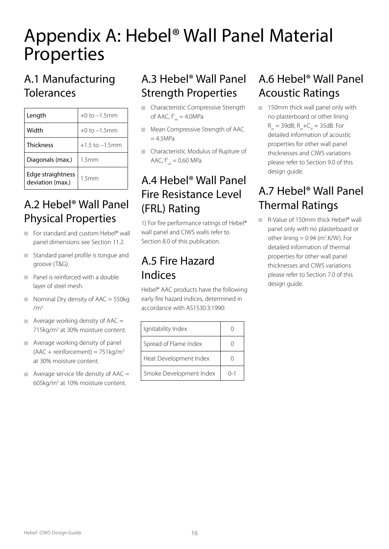## Appendix A: Hebel® Wall Panel Material Properties

### A.1 Manufacturing Tolerances

| Length                                | $+0$ to $-1.5$ mm   |
|---------------------------------------|---------------------|
| Width                                 | $+0$ to $-1.5$ mm   |
| Thickness                             | $+1.5$ to $-1.5$ mm |
| Diagonals (max.)                      | 1.5mm               |
| Edge straightness<br>deviation (max.) | 1.5mm               |

### A.2 Hebel® Wall Panel Physical Properties

- For standard and custom Hebel<sup>®</sup> wall panel dimensions see Section 11.2.
- **Standard panel profile is tongue and** groove (T&G).
- **Panel is reinforced with a double** layer of steel mesh.
- Nominal Dry density of  $AAC = 550kg$  $/m<sup>3</sup>$
- Average working density of  $AAC =$ 715kg/m<sup>3</sup> at 30% moisture content.
- **Average working density of panel**  $(AAC + reinforcement) = 751kg/m<sup>3</sup>$ at 30% moisture content.
- Average service life density of  $AAC =$ 605kg/m<sup>3</sup> at 10% moisture content.

### A.3 Hebel® Wall Panel Strength Properties

- **Characteristic Compressive Strength** of AAC,  $f'_m = 4.0MPa$
- **Mean Compressive Strength of AAC**  $= 4.5MPa$
- **Characteristic Modulus of Rupture of** AAC,  $f'_{\text{u}t} = 0.60 \text{ MPa}$

### A.4 Hebel® Wall Panel Fire Resistance Level (FRL) Rating

1) For fire performance ratings of Hebel® wall panel and CIWS walls refer to Section 8.0 of this publication.

### A.5 Fire Hazard Indices

Hebel® AAC products have the following early fire hazard indices, determined in accordance with AS1530.3:1990:

| Ignitability Index      |         |
|-------------------------|---------|
| Spread of Flame Index   |         |
| Heat Development Index  |         |
| Smoke Development Index | ( ) – 1 |

### A.6 Hebel® Wall Panel Acoustic Ratings

150mm thick wall panel only with no plasterboard or other lining  $R_w = 39dB$ ,  $R_w + C_w = 35dB$ . For detailed information of acoustic properties for other wall panel thicknesses and CIWS variations please refer to Section 9.0 of this design guide.

### A.7 Hebel® Wall Panel Thermal Ratings

■ R-Value of 150mm thick Hebel<sup>®</sup> wall panel only with no plasterboard or other lining  $= 0.94$  (m<sup>2</sup>.K/W). For detailed information of thermal properties for other wall panel thicknesses and CIWS variations please refer to Section 7.0 of this design guide.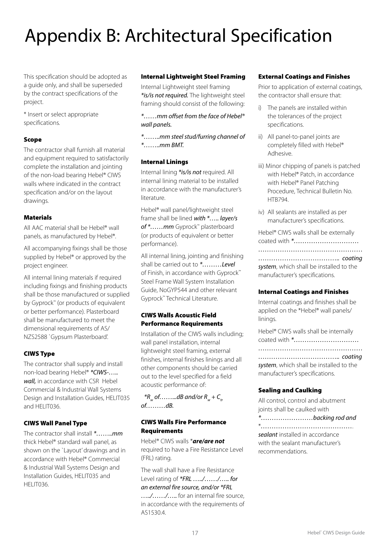# Appendix B: Architectural Specification

This specification should be adopted as a guide only, and shall be superseded by the contract specifications of the project.

\* Insert or select appropriate specifications.

#### Scope

The contractor shall furnish all material and equipment required to satisfactorily complete the installation and jointing of the non-load bearing Hebel® CIWS walls where indicated in the contract specification and/or on the layout drawings.

#### Materials

All AAC material shall be Hebel® wall panels, as manufactured by Hebel®.

All accompanying fixings shall be those supplied by Hebel® or approved by the project engineer.

All internal lining materials if required including fixings and finishing products shall be those manufactured or supplied by Gyprock™ (or products of equivalent or better performance). Plasterboard shall be manufactured to meet the dimensional requirements of AS/ NZS2588 `Gypsum Plasterboard'.

#### CIWS Type

The contractor shall supply and install non-load bearing Hebel® *\*CIWS-….. wall,* in accordance with CSR Hebel Commercial & Industrial Wall Systems Design and Installation Guides, HELIT035 and HELIT036.

#### CIWS Wall Panel Type

The contractor shall install *\*……..mm* thick Hebel® standard wall panel, as shown on the `Layout' drawings and in accordance with Hebel® Commercial & Industrial Wall Systems Design and Installation Guides, HELIT035 and HELIT036.

#### Internal Lightweight Steel Framing

Internal Lightweight steel framing *\*is/is not required.* The lightweight steel framing should consist of the following:

*\*……mm offset from the face of Hebel® wall panels.*

*\*……..mm steel stud/furring channel of \*……..mm BMT.*

#### Internal Linings

Internal lining *\*is/is not* required. All internal lining material to be installed in accordance with the manufacturer's literature.

Hebel® wall panel/lightweight steel frame shall be lined *with \*….. layer/s of \*……mm* Gyprock™ plasterboard (or products of equivalent or better performance).

All internal lining, jointing and finishing shall be carried out to *\*………Level*  of Finish, in accordance with Gyprock™ Steel Frame Wall System Installation Guide, NoGYP544 and other relevant Gyprock™ Technical Literature.

#### CIWS Walls Acoustic Field Performance Requirements

Installation of the CIWS walls including; wall panel installation, internal lightweight steel framing, external finishes, internal finishes linings and all other components should be carried out to the level specified for a field acoustic performance of:

 ${}^{\ast}R_{w}$  of ........dB and/or  $R_{w}$  +  $C_{tr}$ *of………dB.*

#### CIWS Walls Fire Performance **Requirements**

Hebel® CIWS walls \**are/are not* required to have a Fire Resistance Level (FRL) rating.

The wall shall have a Fire Resistance Level rating of *\*FRL …../……/….. for an external fire source, and/or \*FRL …../……/…..* for an internal fire source, in accordance with the requirements of AS1530.4.

#### External Coatings and Finishes

Prior to application of external coatings, the contractor shall ensure that:

- i) The panels are installed within the tolerances of the project specifications.
- ii) All panel-to-panel joints are completely filled with Hebel® Adhesive.
- iii) Minor chipping of panels is patched with Hebel® Patch, in accordance with Hebel® Panel Patching Procedure, Technical Bulletin No. HTB794.
- iv) All sealants are installed as per manufacturer's specifications.

Hebel® CIWS walls shall be externally coated with *\*………………………… ………………………………………… ……………………………….. coating system*, which shall be installed to the manufacturer's specifications.

#### Internal Coatings and Finishes

Internal coatings and finishes shall be applied on the \*Hebel® wall panels/ linings.

Hebel® CIWS walls shall be internally coated with *\*………………………… ………………………………………… ……………………………….. coating system*, which shall be installed to the manufacturer's specifications.

#### Sealing and Caulking

All control, control and abutment joints shall be caulked with *\*……………………backing rod and* \**……………………………………*. *sealant* installed in accordance with the sealant manufacturer's recommendations.